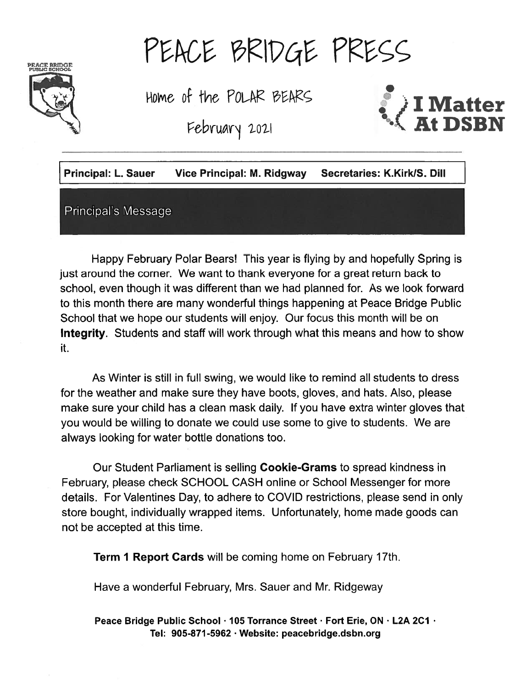

# PEACE BRIDGE PRESS

Home of the POLAR BEARS<br>February 2021



| <b>Principal: L. Sauer</b> | <b>Vice Principal: M. Ridgway</b> | Secretaries: K.Kirk/S. Dill |
|----------------------------|-----------------------------------|-----------------------------|
| Principal's Message        |                                   |                             |

Happy February Polar Bears! This year is flying by and hopefully Spring is just around the corner. We want to thank everyone for <sup>a</sup> grea<sup>t</sup> return back to school, even though it was different than we had planned for. As we look forward to this month there are many wonderful things happening at Peace Bridge Public School that we hope our students will enjoy. Our focus this month will be on Integrity. Students and staff will work through what this means and how to show it.

As Winter is still in full swing, we would like to remind all students to dress for the weather and make sure they have boots, gloves, and hats. Also, please make sure your child has <sup>a</sup> clean mask daily. If you have extra winter gloves that you would be willing to donate we could use some to give to students. We are always looking for water bottle donations too.

Our Student Parliament is selling Cookie-Grams to spread kindness in February, please check SCHOOL CASH online or School Messenger for more details. For Valentines Day, to adhere to COVID restrictions, please send in only store bought, individually wrapped items. Unfortunately, home made goods can not be accepted at this time.

Term <sup>I</sup> Report Cards will be coming home on February 17th.

Have <sup>a</sup> wonderful February, Mrs. Sauer and Mr. Ridgeway

Peace Bridge Public School · 105 Torrance Street · Fort Erie, ON · L2A 2C1 · Tel: 905-871 -5962 . Website: peacebridge.dsbn.org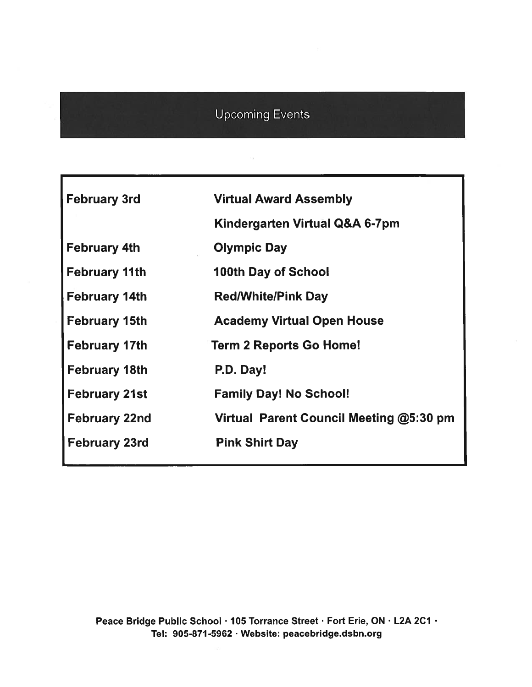#### Upcoming Events

 $\lesssim$ 

| <b>February 3rd</b>  | <b>Virtual Award Assembly</b>           |
|----------------------|-----------------------------------------|
|                      | Kindergarten Virtual Q&A 6-7pm          |
| <b>February 4th</b>  | <b>Olympic Day</b>                      |
| <b>February 11th</b> | <b>100th Day of School</b>              |
| <b>February 14th</b> | <b>Red/White/Pink Day</b>               |
| <b>February 15th</b> | <b>Academy Virtual Open House</b>       |
| <b>February 17th</b> | <b>Term 2 Reports Go Home!</b>          |
| <b>February 18th</b> | P.D. Day!                               |
| <b>February 21st</b> | <b>Family Day! No School!</b>           |
| <b>February 22nd</b> | Virtual Parent Council Meeting @5:30 pm |
| <b>February 23rd</b> | <b>Pink Shirt Day</b>                   |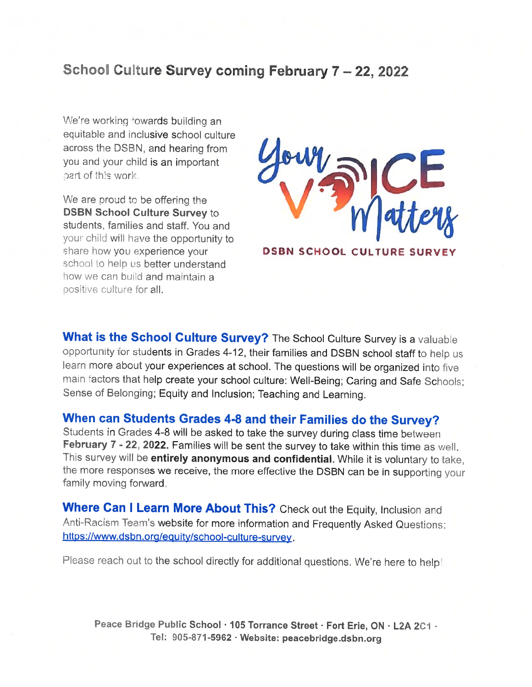#### School Culture Survey coming February 7 - 22, 2022

We're working towards building an equitable and inclusive school culture across the DSBN, and hearing from you and your child is an important part of this work.

We are proud to be offering the DSBN School Culture Survey to students, families and staff. You and your child will have the opportunity to share how you experience your school to help us better understand how we can build and maintain a positive culture for all.



DSBN SCHOOL CULTURE SURVEY

What is the School Culture Survey? The School Culture Survey is a valuable opportunity for students in Grades 4-12, their families and DSBN school staff to help us learn more about your experiences at school. The questions will be organized into five main factors that help create your school culture: Well-Being; Caring and Safe Schools; Sense of Belonging; Equity and Inclusion; Teaching and Learning.

#### When can Students Grades 4-8 and their Families do the Survey?

Students in Grades 4-8 will be asked to take the survey during class time between February 7 - 22, 2022. Families will be sent the survey to take within this time as well. This survey will be entirely anonymous and confidential. While it is voluntary to take, the more responses we receive, the more effective the DSBN can be in supporting your family moving forward.

Where Can I Learn More About This? Check out the Equity, Inclusion and Anti-Racism Team's website for more information and Frequently Asked Questions: https://www.dsbn.org/equity/school-culture-survey.

Please reach out to the school directly for additional questions. We're here to help!

Peace Bridge Public School · 105 Torrance Street · Fort Erie, ON · L2A 2C1 · Tel: 905-871-5962 · Website: peacebridge.dsbn.org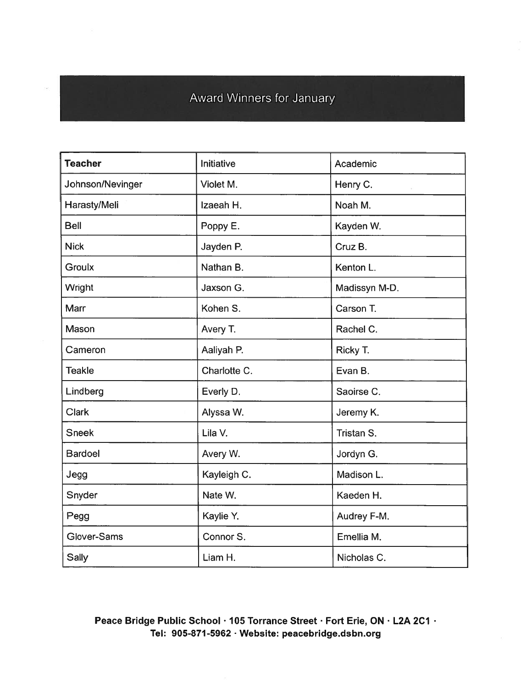#### Award Winners for January

| <b>Teacher</b>   | Initiative   | Academic      |
|------------------|--------------|---------------|
| Johnson/Nevinger | Violet M.    | Henry C.      |
| Harasty/Meli     | Izaeah H.    | Noah M.       |
| <b>Bell</b>      | Poppy E.     | Kayden W.     |
| <b>Nick</b>      | Jayden P.    | Cruz B.       |
| Groulx           | Nathan B.    | Kenton L.     |
| Wright           | Jaxson G.    | Madissyn M-D. |
| Marr             | Kohen S.     | Carson T.     |
| Mason            | Avery T.     | Rachel C.     |
| Cameron          | Aaliyah P.   | Ricky T.      |
| <b>Teakle</b>    | Charlotte C. | Evan B.       |
| Lindberg         | Everly D.    | Saoirse C.    |
| <b>Clark</b>     | Alyssa W.    | Jeremy K.     |
| <b>Sneek</b>     | Lila V.      | Tristan S.    |
| <b>Bardoel</b>   | Avery W.     | Jordyn G.     |
| Jegg             | Kayleigh C.  | Madison L.    |
| Snyder           | Nate W.      | Kaeden H.     |
| Pegg             | Kaylie Y.    | Audrey F-M.   |
| Glover-Sams      | Connor S.    | Emellia M.    |
| <b>Sally</b>     | Liam H.      | Nicholas C.   |

Peace Bridge Public School · 105 Torrance Street · Fort Erie, ON · L2A 2C1 · Tel: 905-871 -5962 . Website: peacebridge.dsbn.org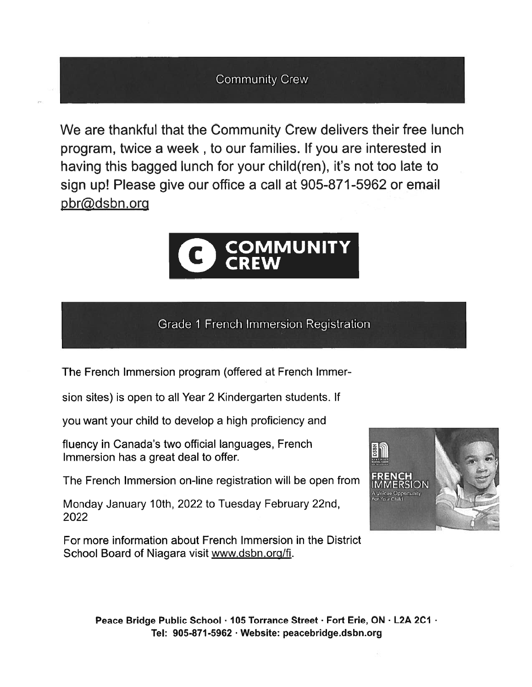#### Community Crew

We are thankful that the Community Crew delivers their free lunch program, twice <sup>a</sup> week , to our families. If you are interested in having this bagged lunch for your child(ren), it's not too late to sign up! Please give our office <sup>a</sup> call at 905-871-5962 or email pbr@dsbn.org



#### Grade 1 French Immersion Registration

The French Immersion program (offered at French Immer

sion sites) is open to all Year 2 Kindergarten students. If

you want your child to develop <sup>a</sup> high proficiency and

fluency in Canada's two official languages, French Immersion has <sup>a</sup> grea<sup>t</sup> deal to offer.

The French Immersion on-line registration will be open from

Monday January 10th, 2022 to Tuesday February 22nd, 2022

For more information about French Immersion in the District School Board of Niagara visit www.dsbn.org/fi.



Peace Bridge Public School · 105 Torrance Street · Fort Erie, ON · L2A 2C1 · Tel: 905-871 -5962 . Website: peacebridge.dsbn.org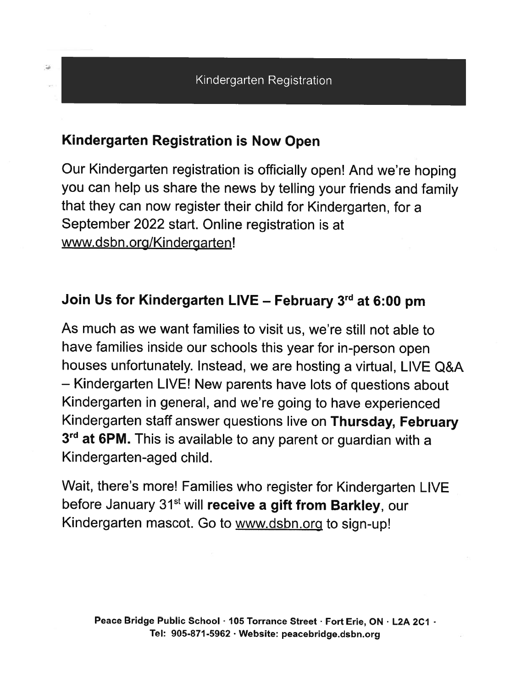#### Kindergarten Registration is Now Open

Our Kindergarten registration is officially open! And we're hoping you can help us share the news by telling your friends and family that they can now register their child for Kindergarten, for <sup>a</sup> September 2022 start. Online registration is at www.dsbn.org/Kindergarten!

#### Join Us for Kindergarten LIVE – February  $3<sup>rd</sup>$  at 6:00 pm

As much as we want families to visit us, we're still not able to have families inside our schools this year for in-person open houses unfortunately. Instead, we are hosting <sup>a</sup> virtual, LIVE Q&A — Kindergarten LIVE! New parents have lots of questions about Kindergarten in general, and we're going to have experienced Kindergarten staff answer questions live on Thursday, February 3<sup>rd</sup> at 6PM. This is available to any parent or guardian with a Kindergarten-aged child.

Wait, there's more! Families who register for Kindergarten LIVE before January 31<sup>st</sup> will receive a gift from Barkley, our Kindergarten mascot. Go to www.dsbn.org to sign-up!

t.)<br>H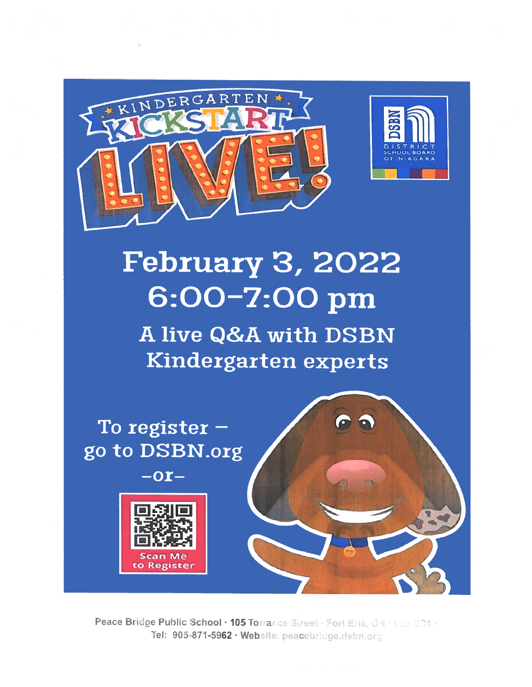



# **February 3, 2022** 6:00-7:00 pm

A live Q&A with DSBN Kindergarten experts





to Register

Peace Bridge Public School  $\cdot$  105 To $\mathrm{r}\mathrm{a}$ ned lic School • 105 Torrance Street • Fort E.<br>'05-871-5962 • Website: peacebridge.dst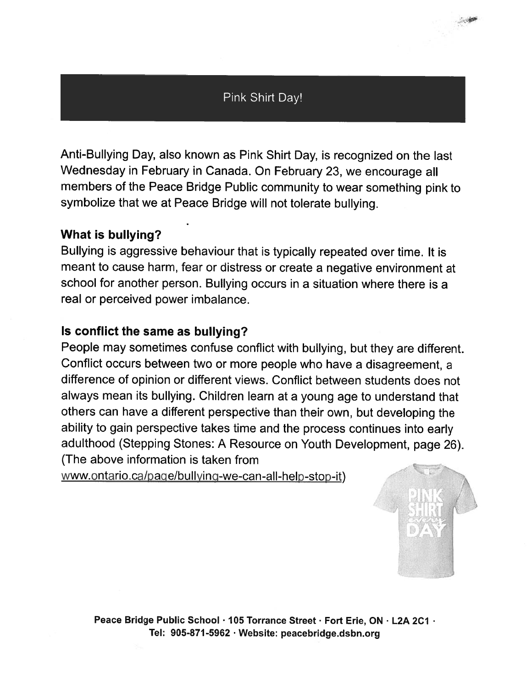#### Pink Shirt Day!

Anti-Bullying Day, also known as Pink Shirt Day, is recognized on the last Wednesday in February in Canada. On February 23, we encourage all members of the Peace Bridge Public community to wear something <sup>p</sup>ink to symbolize that we at Peace Bridge will not tolerate bullying.

#### What is bullying?

Bullying is aggressive behaviour that is typically repeated over time. It is meant to cause harm, fear or distress or create <sup>a</sup> negative environment at school for another person. Bullying occurs in <sup>a</sup> situation where there is <sup>a</sup> real or perceived power imbalance.

#### Is conflict the same as bullying?

People may sometimes confuse conflict with bullying, but they are different. Conflict occurs between two or more people who have <sup>a</sup> disagreement, <sup>a</sup> difference of opinion or different views. Conflict between students does not always mean its bullying. Children learn at <sup>a</sup> young age to understand that others can have <sup>a</sup> different perspective than their own, but developing the ability to gain perspective takes time and the process continues into early adulthood (Stepping Stones: <sup>A</sup> Resource on Youth Development, page 26). (The above information is taken from

www.ontario.ca/page/bullying-we-can-all-help-stop-it)



小海

Peace Bridge Public School · 105 Torrance Street · Fort Erie, ON · L2A 2C1 · Tel: 905-871-5962 Website: peacebridge.dsbn.org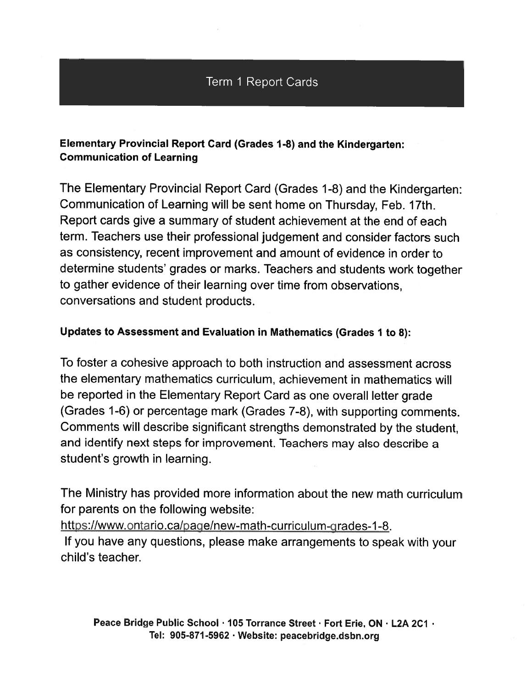#### Term I Report Cards

#### Elementary Provincial Report Card (Grades 1-8) and the Kindergarten: Communication of Learning

The Elementary Provincial Report Card (Grades 1-8) and the Kindergarten: Communication of Learning will be sent home on Thursday, Feb. 17th. Report cards give <sup>a</sup> summary of student achievement at the end of each term. Teachers use their professional judgement and consider factors such as consistency, recent improvement and amount of evidence in order to determine students' grades or marks. Teachers and students work together to gather evidence of their learning over time from observations, conversations and student products.

#### Updates to Assessment and Evaluation in Mathematics (Grades 1 to 8):

To foster <sup>a</sup> cohesive approach to both instruction and assessment across the elementary mathematics curriculum, achievement in mathematics will be reported in the Elementary Report Card as one overall letter grade (Grades 1-6) or percentage mark (Grades 7-8), with supporting comments. Comments will describe significant strengths demonstrated by the student, and identify next steps for improvement. Teachers may also describe <sup>a</sup> student's growth in learning.

The Ministry has provided more information about the new math curriculum for parents on the following website:

https://www.ontario.ca/page/new-math-curriculum-grades-1-8.

If you have any questions, <sup>p</sup>lease make arrangements to spea<sup>k</sup> with your child's teacher.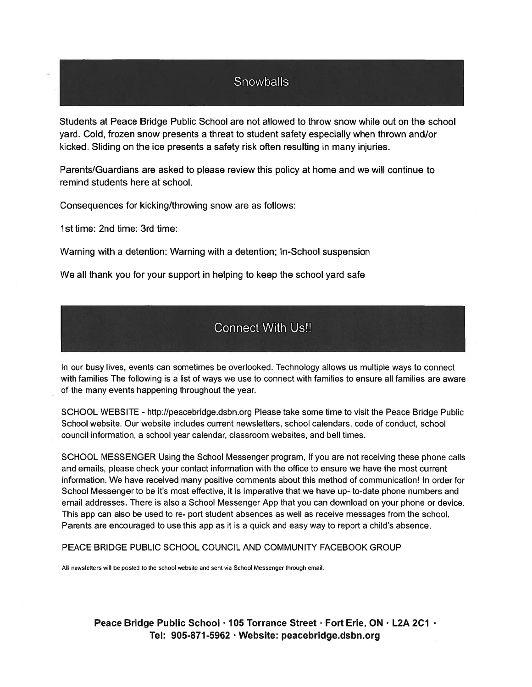#### **Snowballs**

Students at Peace Bridge Public School are not allowed to throw snow while out on the school yard. Cold, frozen snow presents <sup>a</sup> threat to student safety especially when thrown and/or kicked. Sliding on the ice presents <sup>a</sup> safety risk often resulting in many injuries.

Parents/Guardians are asked to please review this policy at home and we will continue to remind students here at school.

Consequences for kicking/throwing snow are as follows:

1st time: 2nd time: 3rd time:

Warning with <sup>a</sup> detention: Warning with <sup>a</sup> detention; In-School suspension

We all thank you for your suppor<sup>t</sup> in helping to keep the school yard safe

#### Connect With Us!!

In our busy lives, events can sometimes be overlooked. Technology allows us multiple ways to connect with families The following is <sup>a</sup> list of ways we use to connect with families to ensure all families are aware of the many events happening throughout the year.

SCHOOL WEBSITE - http://peacebridge.dsbn.org Please take some time to visit the Peace Bridge Public School website. Our website includes current newsletters, school calendars, code of conduct, school council information, <sup>a</sup> school year calendar, classroom websites, and bell times.

SCHOOL MESSENGER Using the School Messenger program, If you are not receiving these phone calls and emails, please check your contact information with the office to ensure we have the most current information. We have received many positive comments about this method of communication? In order for School Messenger to be it's most effective, it is imperative that we have up- to-date phone numbers and email addresses. There is also <sup>a</sup> School Messenger App that you can download on your phone or device. This app can also be used to re- por<sup>t</sup> student absences as well as receive messages from the school. Parents are encouraged to use this app as it is <sup>a</sup> quick and easy way to repor<sup>t</sup> <sup>a</sup> child's absence.

PEACE BRIDGE PUBLIC SCHOOL COUNCIL AND COMMUNITY FACEBOOK GROUP

All newsletters will be posted to the school website and sent via School Messenger through email.

Peace Bridge Public School · 105 Torrance Street · Fort Erie, ON · L2A 2C1 · Tel: 905-871-5962 · Website: peacebridge.dsbn.org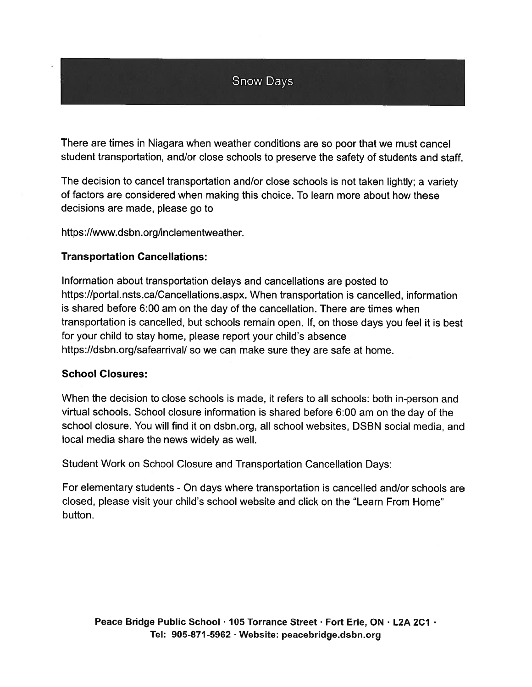#### Snow Days

There are times in Niagara when weather conditions are so poor that we must cancel student transportation, and/or close schools to preserve the safety of students and staff.

The decision to cancel transportation and/or close schools is not taken lightly; <sup>a</sup> variety of factors are considered when making this choice. To learn more about how these decisions are made, please go to

https://www.dsbn .org/inclementweather.

#### Transportation Cancellations:

Information about transportation delays and cancellations are posted to https://portal.nsts.ca/Cancellations.aspx. When transportation is cancelled, information is shared before 6:00 am on the day of the cancellation. There are times when transportation is cancelled, but schools remain open. If, on those days you feel it is best for your child to stay home, please repor<sup>t</sup> your child's absence https://dsbn.org/safearrival/ so we can make sure they are safe at home.

#### School Closures:

When the decision to close schools is made, it refers to all schools: both in-person and virtual schools. School closure information is shared before 6:00 am on the day of the school closure. You will find it on dsbn.org, all school websites, DSBN social media, and local media share the news widely as well.

Student Work on School Closure and Transportation Cancellation Days:

For elementary students - On days where transportation is cancelled and/or schools are closed, please visit your child's school website and click on the "Learn From Home" button.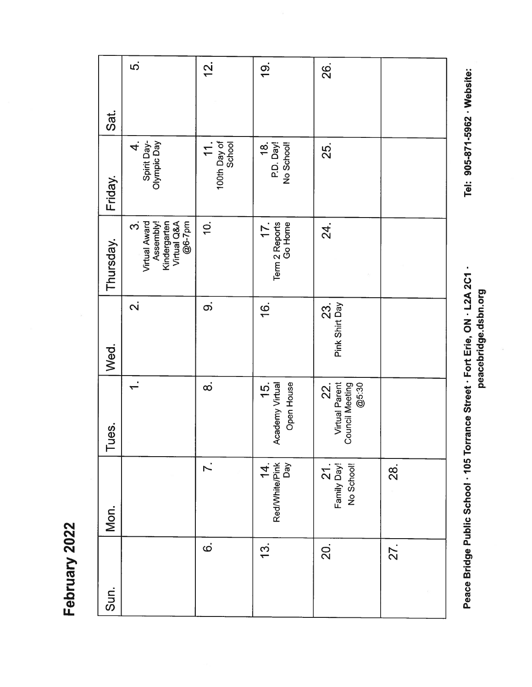|           | <u>ဟ</u>                                                                        | <u>신</u>                          | <u>တ</u>                             | 26.                                                             |     |
|-----------|---------------------------------------------------------------------------------|-----------------------------------|--------------------------------------|-----------------------------------------------------------------|-----|
| Sat.      |                                                                                 |                                   |                                      |                                                                 |     |
| Friday.   | Spirit Day-<br>Olympic Day<br>$\overline{\mathbf{r}}$                           | 100th Day of<br>$\overline{11}$ . | 18.<br>P.D. Day!<br>No School!       | 25.                                                             |     |
| Thursday. | @6-7pm<br>Virtual Award<br>Assembly!<br>Kindergarten<br>Virtual Q&A<br><u>က</u> | $\dot{q}$                         | Term 2 Reports<br>Go Home<br>17.     | 24.                                                             |     |
| Wed.      | $\overline{\mathbf{N}}$                                                         | တဲ                                | $\frac{6}{1}$                        | Pink Shirt Day<br>23.                                           |     |
| Tues.     | $\div$                                                                          | $\dot{\infty}$                    | 15.<br>Academy Virtual<br>Open House | <b>Virtual Parent</b><br>Council Meeting<br>@5:30<br><b>22.</b> |     |
| Mon.      |                                                                                 | $\overline{r}$ .                  | 14.<br>Red/White/Pink<br>Day         | 21.<br>Family Day!<br>No School!                                | 28. |
| Sun.      |                                                                                 | $\dot{\mathbf{\circ}}$            | $\frac{3}{1}$                        | 20.                                                             | 27. |

Peace Bridge Public School · 105 Torrance Street · Fort Erie, ON · L2A 2C1 · Tel: 905-871-5962 · Website: Peace Bridge Public School · 105 Torrance Street · Fort Erie, ON · L2A 2C1 ·

Tel: 905-871-5962 · Website:

peacebridge.dsbn.org peacebridge.dsbn.org

February 2022 February 2022

 $\vec{S}$ 

 $\frac{1}{2}$ 

 $\frac{1}{9}$ 

26.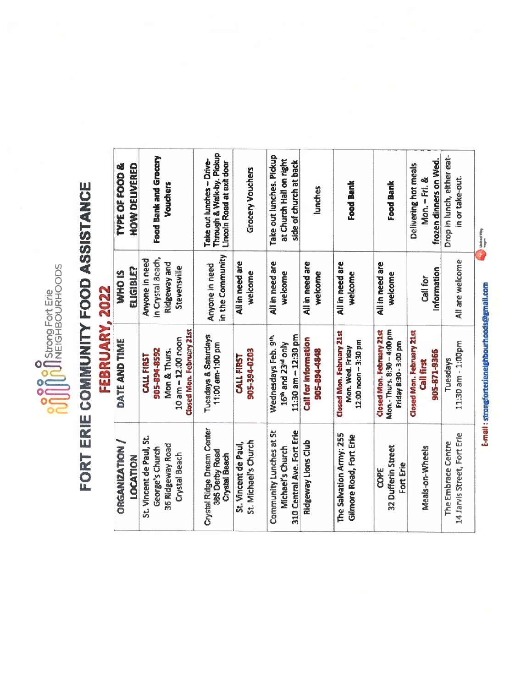

# FORT ERIE COMMUNITY FOOD ASSISTANCE FORT ERIE COMMUNITY FOOD ASSISTANCE

# FEBRUARY, 2022 FEBRUARY, 2022

| Take out lunches. Pickup<br>Drop in lunch, either eat-<br>frozen dinners on Wed.<br>at Church Hall on right<br>side of church at back<br>Delivering hot meals<br><b>Grocery Vouchers</b><br>in or take-out.<br>Mon. - Fri. &<br>Food Bank<br>Food Bank<br>lunches<br><b>Little of This</b> | All are welcome<br>All in need are<br>All in need are<br>All in need are<br>All in need are<br>All in need are<br>Information<br>welcome<br>wekome<br>welcome<br>welcome<br>welcome<br>Call for | E-mail: strongforterieneighbourhoods@gmail.com<br>Mon.- Thurs. 8:30 - 4:00 pm<br><b>Closed Mon. February 21st</b><br><b>Closed Mon. February 21st</b><br>Closed Mon. February 21st<br>11:30 am - 12:30 pm<br>Wednesdays Feb. 9th<br><b>Call for information</b><br>12:00 noon - 3:30 pm<br>11:30 am - 1:00pm<br>15 <sup>th</sup> and 23rd only<br>Friday 8:30 - 3:00 pm<br>Mon. Wed. Friday<br>905-394-0203<br>905-894-4848<br>905-871-9366<br>CALL FIRST<br>Tuesdays<br><b>Call first</b> | Community Lunches at St<br>310 Central Ave. Fort Erie<br>14 Jarvis Street, Fort Erie<br>The Salvation Army: 255<br>Gilmore Road, Fort Erie<br>St. Michael's Church<br>Ridgeway Lions Club<br>The Embrace Centre<br>St. Vincent de Paul,<br>32 Dufferin Street<br>Michael's Church<br>Meals-on-Wheels<br>Fort Erie<br>COPE |
|--------------------------------------------------------------------------------------------------------------------------------------------------------------------------------------------------------------------------------------------------------------------------------------------|-------------------------------------------------------------------------------------------------------------------------------------------------------------------------------------------------|--------------------------------------------------------------------------------------------------------------------------------------------------------------------------------------------------------------------------------------------------------------------------------------------------------------------------------------------------------------------------------------------------------------------------------------------------------------------------------------------|---------------------------------------------------------------------------------------------------------------------------------------------------------------------------------------------------------------------------------------------------------------------------------------------------------------------------|
|                                                                                                                                                                                                                                                                                            |                                                                                                                                                                                                 |                                                                                                                                                                                                                                                                                                                                                                                                                                                                                            |                                                                                                                                                                                                                                                                                                                           |
|                                                                                                                                                                                                                                                                                            |                                                                                                                                                                                                 |                                                                                                                                                                                                                                                                                                                                                                                                                                                                                            |                                                                                                                                                                                                                                                                                                                           |
|                                                                                                                                                                                                                                                                                            |                                                                                                                                                                                                 |                                                                                                                                                                                                                                                                                                                                                                                                                                                                                            |                                                                                                                                                                                                                                                                                                                           |
|                                                                                                                                                                                                                                                                                            |                                                                                                                                                                                                 |                                                                                                                                                                                                                                                                                                                                                                                                                                                                                            |                                                                                                                                                                                                                                                                                                                           |
| Through & Walk-by. Pickup<br>Take out lunches - Drive-<br>Lincoln Road at exit door                                                                                                                                                                                                        | in the Community<br>Anyone in need                                                                                                                                                              | Tuesdays & Saturdays<br>11:00 am-1:00 pm                                                                                                                                                                                                                                                                                                                                                                                                                                                   | Crystal Ridge Dream Center<br>385 Derby Road<br><b>Crystal Beach</b>                                                                                                                                                                                                                                                      |
| Food Bank and Grocery<br>Vouchers                                                                                                                                                                                                                                                          | in Crystal Beach,<br>Anyone in need<br>Ridgeway and<br>Stevensville                                                                                                                             | Closed Mon. February 21st<br>10 am - 12:00 noon<br>905-894-8592<br>Mon & Thurs.<br>CALL FIRST                                                                                                                                                                                                                                                                                                                                                                                              | St. Vincent de Paul, St.<br>36 Ridgeway Road<br>George's Church<br>Crystal Beach                                                                                                                                                                                                                                          |
| <b>HOW DELIVERED</b><br>TYPE OF FOOD &                                                                                                                                                                                                                                                     | ELIGIBLE?<br><b>SIGHN</b>                                                                                                                                                                       | DATE AND TIME                                                                                                                                                                                                                                                                                                                                                                                                                                                                              | <b>ORGANIZATION /</b><br><b>MOLVOU</b>                                                                                                                                                                                                                                                                                    |
|                                                                                                                                                                                                                                                                                            |                                                                                                                                                                                                 |                                                                                                                                                                                                                                                                                                                                                                                                                                                                                            |                                                                                                                                                                                                                                                                                                                           |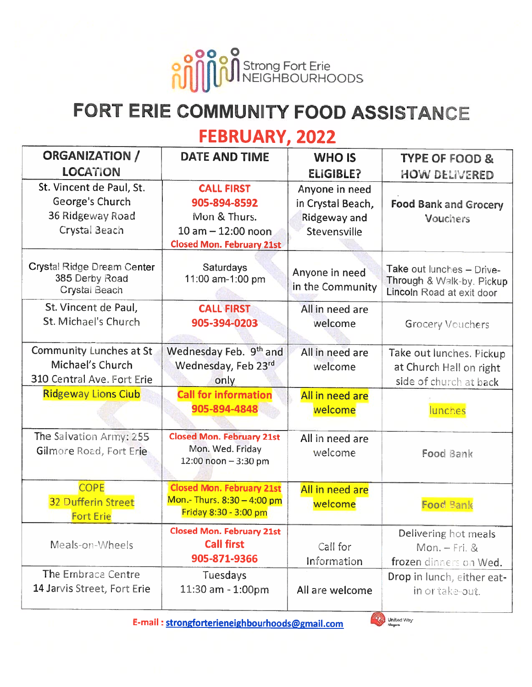

## FORT ERIE COMMUNITY FOOD ASSISTANCE

#### FEBRUARY, 2022

| <b>ORGANIZATION /</b>                                                            | <b>DATE AND TIME</b>                                                                                          | <b>WHO IS</b>                                                              | <b>TYPE OF FOOD &amp;</b>                                                           |
|----------------------------------------------------------------------------------|---------------------------------------------------------------------------------------------------------------|----------------------------------------------------------------------------|-------------------------------------------------------------------------------------|
| <b>LOCATION</b>                                                                  |                                                                                                               | <b>ELIGIBLE?</b>                                                           | <b>HOW DELIVERED</b>                                                                |
| St. Vincent de Paul, St.<br>George's Church<br>36 Ridgeway Road<br>Crystal Beach | <b>CALL FIRST</b><br>905-894-8592<br>Mon & Thurs.<br>$10 am - 12:00 noon$<br><b>Closed Mon. February 21st</b> | Anyone in need<br>in Crystal Beach,<br><b>Ridgeway and</b><br>Stevensville | <b>Food Bank and Grocery</b><br><b>Vouchers</b>                                     |
| Crystal Ridge Dream Center<br>385 Derby Road<br>Crystal Beach                    | <b>Saturdays</b><br>11:00 am-1:00 pm                                                                          | Anyone in need<br>in the Community                                         | Take out lunches - Drive-<br>Through & Walk-by. Pickup<br>Lincoln Road at exit door |
| St. Vincent de Paul,<br>St. Michael's Church                                     | <b>CALL FIRST</b><br>905-394-0203                                                                             | All in need are<br>welcome                                                 | Grocery Vouchers                                                                    |
| Community Lunches at St<br>Michael's Church<br>310 Central Ave. Fort Erie        | Wednesday Feb. 9th and<br>Wednesday, Feb 23rd<br>only                                                         | All in need are<br>welcome                                                 | Take out lunches. Pickup<br>at Church Hall on right<br>side of church at back       |
| <b>Ridgeway Lions Club</b>                                                       | <b>Call for information</b><br>905-894-4848                                                                   | All in need are<br>welcome                                                 | lunches                                                                             |
| The Salvation Army: 255<br>Gilmore Road, Fort Erie                               | <b>Closed Mon. February 21st</b><br>Mon. Wed. Friday<br>$12:00$ noon $-3:30$ pm                               | All in need are<br>welcome                                                 | Food Bank                                                                           |
| <b>COPE</b><br><b>32 Dufferin Street</b><br><b>Fort Erie</b>                     | <b>Closed Mon. February 21st</b><br>Mon.- Thurs. 8:30 - 4:00 pm<br>Friday 8:30 - 3:00 pm                      | All in need are<br>welcome                                                 | <b>Food Bank</b>                                                                    |
| Meals-on-Wheels                                                                  | <b>Closed Mon. February 21st</b><br><b>Call first</b><br>905-871-9366                                         | Call for<br>Information                                                    | Delivering hot meals<br>$Mon. - Fri. &$<br>frozen dinners on Wed.                   |
| The Embrace Centre<br>14 Jarvis Street, Fort Erie                                | Tuesdays<br>11:30 am - 1:00pm                                                                                 | All are welcome                                                            | Drop in lunch, either eat-<br>in or take-out.                                       |

E-mail : strongforterieneighbourhoods@gmail.com